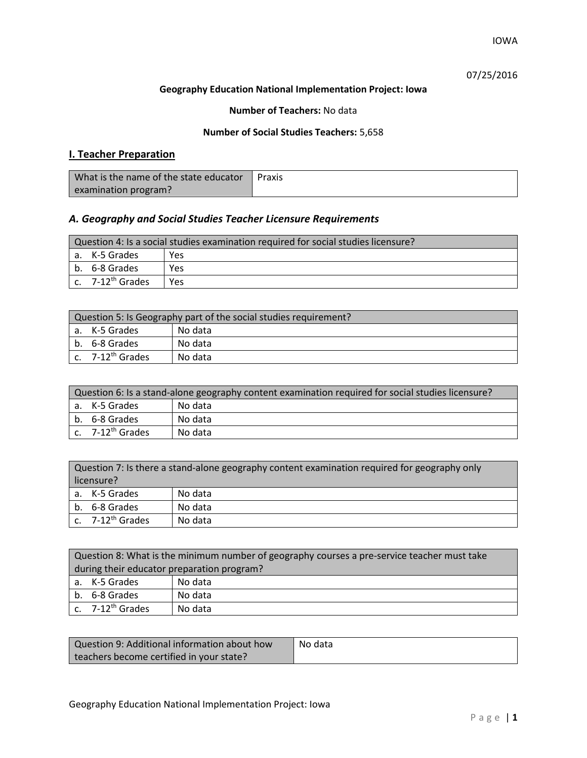IOWA

07/25/2016

### **Geography Education National Implementation Project: Iowa**

**Number of Teachers:** No data

### **Number of Social Studies Teachers:** 5,658

## **I. Teacher Preparation**

| What is the name of the state educator | Praxis |
|----------------------------------------|--------|
| examination program?                   |        |

## *A. Geography and Social Studies Teacher Licensure Requirements*

| Question 4: Is a social studies examination required for social studies licensure? |     |  |
|------------------------------------------------------------------------------------|-----|--|
| l a. K-5 Grades                                                                    | Yes |  |
| b. 6-8 Grades                                                                      | Yes |  |
| $c.$ 7-12 <sup>th</sup> Grades                                                     | Yes |  |

| Question 5: Is Geography part of the social studies requirement? |                              |         |
|------------------------------------------------------------------|------------------------------|---------|
|                                                                  | a. K-5 Grades                | No data |
|                                                                  | b. 6-8 Grades                | No data |
|                                                                  | c. 7-12 <sup>th</sup> Grades | No data |

| Question 6: Is a stand-alone geography content examination required for social studies licensure? |         |  |
|---------------------------------------------------------------------------------------------------|---------|--|
| a. K-5 Grades                                                                                     | No data |  |
| b. 6-8 Grades                                                                                     | No data |  |
| c. 7-12 <sup>th</sup> Grades                                                                      | No data |  |

|    | Question 7: Is there a stand-alone geography content examination required for geography only<br>licensure? |         |  |
|----|------------------------------------------------------------------------------------------------------------|---------|--|
|    |                                                                                                            |         |  |
|    | a. K-5 Grades                                                                                              | No data |  |
| b. | 6-8 Grades                                                                                                 | No data |  |
|    | c. 7-12 <sup>th</sup> Grades                                                                               | No data |  |

| Question 8: What is the minimum number of geography courses a pre-service teacher must take |         |  |
|---------------------------------------------------------------------------------------------|---------|--|
| during their educator preparation program?                                                  |         |  |
| a. K-5 Grades                                                                               | No data |  |
| b. 6-8 Grades                                                                               | No data |  |
| c. $7-12^{th}$ Grades                                                                       | No data |  |

| Question 9: Additional information about how | No data |
|----------------------------------------------|---------|
| teachers become certified in your state?     |         |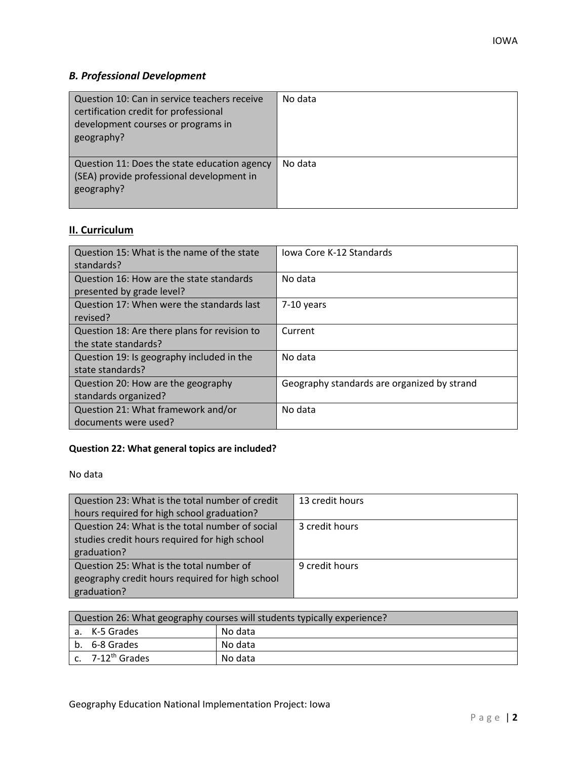# *B. Professional Development*

| Question 10: Can in service teachers receive<br>certification credit for professional<br>development courses or programs in<br>geography? | No data |
|-------------------------------------------------------------------------------------------------------------------------------------------|---------|
| Question 11: Does the state education agency<br>(SEA) provide professional development in<br>geography?                                   | No data |

# **II. Curriculum**

| Question 15: What is the name of the state   | Jowa Core K-12 Standards                    |
|----------------------------------------------|---------------------------------------------|
| standards?                                   |                                             |
| Question 16: How are the state standards     | No data                                     |
| presented by grade level?                    |                                             |
| Question 17: When were the standards last    | 7-10 years                                  |
| revised?                                     |                                             |
| Question 18: Are there plans for revision to | Current                                     |
| the state standards?                         |                                             |
| Question 19: Is geography included in the    | No data                                     |
| state standards?                             |                                             |
| Question 20: How are the geography           | Geography standards are organized by strand |
| standards organized?                         |                                             |
| Question 21: What framework and/or           | No data                                     |
| documents were used?                         |                                             |

## **Question 22: What general topics are included?**

No data

| Question 23: What is the total number of credit | 13 credit hours |
|-------------------------------------------------|-----------------|
| hours required for high school graduation?      |                 |
| Question 24: What is the total number of social | 3 credit hours  |
| studies credit hours required for high school   |                 |
| graduation?                                     |                 |
| Question 25: What is the total number of        | 9 credit hours  |
| geography credit hours required for high school |                 |
| graduation?                                     |                 |

| Question 26: What geography courses will students typically experience? |         |  |
|-------------------------------------------------------------------------|---------|--|
| a. K-5 Grades                                                           | No data |  |
| b. 6-8 Grades                                                           | No data |  |
| c. 7-12 <sup>th</sup> Grades                                            | No data |  |